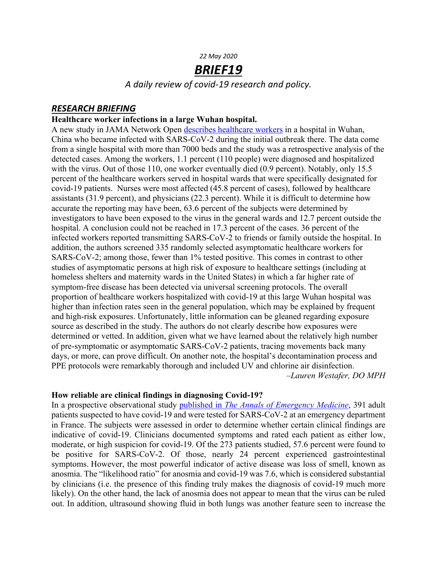#### *22 May 2020*

# *BRIEF19*

*A daily review of covid-19 research and policy.*

## *RESEARCH BRIEFING*

#### **Healthcare worker infections in a large Wuhan hospital.**

A new study in JAMA Network Open describes healthcare workers in a hospital in Wuhan, China who became infected with SARS-CoV-2 during the initial outbreak there. The data come from a single hospital with more than 7000 beds and the study was a retrospective analysis of the detected cases. Among the workers, 1.1 percent (110 people) were diagnosed and hospitalized with the virus. Out of those 110, one worker eventually died (0.9 percent). Notably, only 15.5 percent of the healthcare workers served in hospital wards that were specifically designated for covid-19 patients. Nurses were most affected (45.8 percent of cases), followed by healthcare assistants (31.9 percent), and physicians (22.3 percent). While it is difficult to determine how accurate the reporting may have been, 63.6 percent of the subjects were determined by investigators to have been exposed to the virus in the general wards and 12.7 percent outside the hospital. A conclusion could not be reached in 17.3 percent of the cases. 36 percent of the infected workers reported transmitting SARS-CoV-2 to friends or family outside the hospital. In addition, the authors screened 335 randomly selected asymptomatic healthcare workers for SARS-CoV-2; among those, fewer than 1% tested positive. This comes in contrast to other studies of asymptomatic persons at high risk of exposure to healthcare settings (including at homeless shelters and maternity wards in the United States) in which a far higher rate of symptom-free disease has been detected via universal screening protocols. The overall proportion of healthcare workers hospitalized with covid-19 at this large Wuhan hospital was higher than infection rates seen in the general population, which may be explained by frequent and high-risk exposures. Unfortunately, little information can be gleaned regarding exposure source as described in the study. The authors do not clearly describe how exposures were determined or vetted. In addition, given what we have learned about the relatively high number of pre-symptomatic or asymptomatic SARS-CoV-2 patients, tracing movements back many days, or more, can prove difficult. On another note, the hospital's decontamination process and PPE protocols were remarkably thorough and included UV and chlorine air disinfection. *–Lauren Westafer, DO MPH*

#### **How reliable are clinical findings in diagnosing Covid-19?**

In a prospective observational study published in *The Annals of Emergency Medicine*, 391 adult patients suspected to have covid-19 and were tested for SARS-CoV-2 at an emergency department in France. The subjects were assessed in order to determine whether certain clinical findings are indicative of covid-19. Clinicians documented symptoms and rated each patient as either low, moderate, or high suspicion for covid-19. Of the 273 patients studied, 57.6 percent were found to be positive for SARS-CoV-2. Of those, nearly 24 percent experienced gastrointestinal symptoms. However, the most powerful indicator of active disease was loss of smell, known as anosmia. The "likelihood ratio" for anosmia and covid-19 was 7.6, which is considered substantial by clinicians (i.e. the presence of this finding truly makes the diagnosis of covid-19 much more likely). On the other hand, the lack of anosmia does not appear to mean that the virus can be ruled out. In addition, ultrasound showing fluid in both lungs was another feature seen to increase the